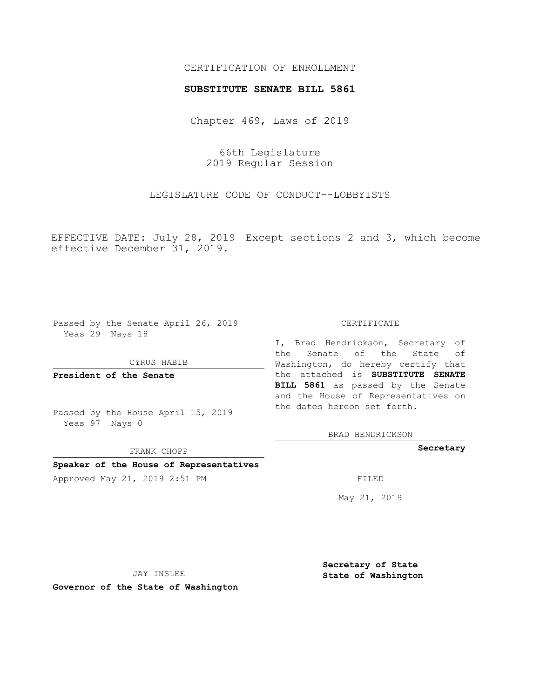# CERTIFICATION OF ENROLLMENT

## **SUBSTITUTE SENATE BILL 5861**

Chapter 469, Laws of 2019

66th Legislature 2019 Regular Session

LEGISLATURE CODE OF CONDUCT--LOBBYISTS

EFFECTIVE DATE: July 28, 2019—Except sections 2 and 3, which become effective December 31, 2019.

Passed by the Senate April 26, 2019 Yeas 29 Nays 18

### CYRUS HABIB

**President of the Senate**

Passed by the House April 15, 2019 Yeas 97 Nays 0

FRANK CHOPP

### **Speaker of the House of Representatives**

Approved May 21, 2019 2:51 PM FILED

#### CERTIFICATE

I, Brad Hendrickson, Secretary of the Senate of the State of Washington, do hereby certify that the attached is **SUBSTITUTE SENATE BILL 5861** as passed by the Senate and the House of Representatives on the dates hereon set forth.

BRAD HENDRICKSON

**Secretary**

May 21, 2019

JAY INSLEE

**Governor of the State of Washington**

**Secretary of State State of Washington**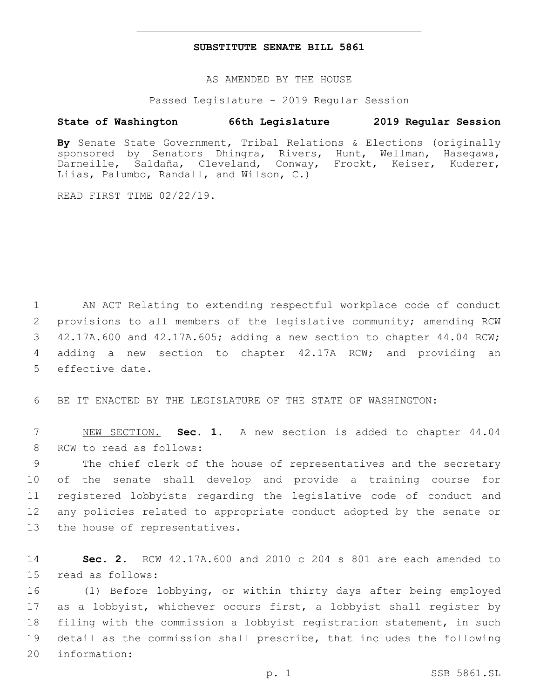## **SUBSTITUTE SENATE BILL 5861**

AS AMENDED BY THE HOUSE

Passed Legislature - 2019 Regular Session

# **State of Washington 66th Legislature 2019 Regular Session**

**By** Senate State Government, Tribal Relations & Elections (originally sponsored by Senators Dhingra, Rivers, Hunt, Wellman, Hasegawa, Darneille, Saldaña, Cleveland, Conway, Frockt, Keiser, Kuderer, Liias, Palumbo, Randall, and Wilson, C.)

READ FIRST TIME 02/22/19.

 AN ACT Relating to extending respectful workplace code of conduct provisions to all members of the legislative community; amending RCW 42.17A.600 and 42.17A.605; adding a new section to chapter 44.04 RCW; adding a new section to chapter 42.17A RCW; and providing an 5 effective date.

6 BE IT ENACTED BY THE LEGISLATURE OF THE STATE OF WASHINGTON:

7 NEW SECTION. **Sec. 1.** A new section is added to chapter 44.04 8 RCW to read as follows:

 The chief clerk of the house of representatives and the secretary of the senate shall develop and provide a training course for registered lobbyists regarding the legislative code of conduct and any policies related to appropriate conduct adopted by the senate or 13 the house of representatives.

14 **Sec. 2.** RCW 42.17A.600 and 2010 c 204 s 801 are each amended to 15 read as follows:

 (1) Before lobbying, or within thirty days after being employed as a lobbyist, whichever occurs first, a lobbyist shall register by filing with the commission a lobbyist registration statement, in such detail as the commission shall prescribe, that includes the following 20 information: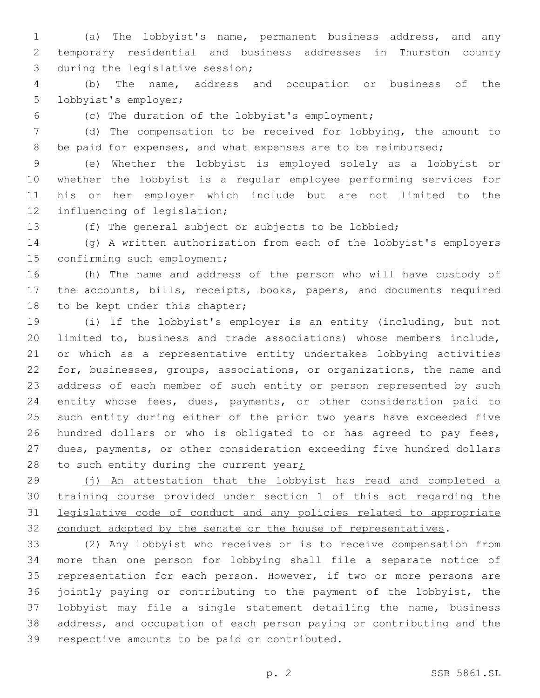(a) The lobbyist's name, permanent business address, and any temporary residential and business addresses in Thurston county 3 during the legislative session;

 (b) The name, address and occupation or business of the 5 lobbyist's employer;

(c) The duration of the lobbyist's employment;6

 (d) The compensation to be received for lobbying, the amount to be paid for expenses, and what expenses are to be reimbursed;

 (e) Whether the lobbyist is employed solely as a lobbyist or whether the lobbyist is a regular employee performing services for his or her employer which include but are not limited to the 12 influencing of legislation;

(f) The general subject or subjects to be lobbied;

 (g) A written authorization from each of the lobbyist's employers 15 confirming such employment;

 (h) The name and address of the person who will have custody of the accounts, bills, receipts, books, papers, and documents required 18 to be kept under this chapter;

 (i) If the lobbyist's employer is an entity (including, but not limited to, business and trade associations) whose members include, or which as a representative entity undertakes lobbying activities for, businesses, groups, associations, or organizations, the name and address of each member of such entity or person represented by such entity whose fees, dues, payments, or other consideration paid to such entity during either of the prior two years have exceeded five hundred dollars or who is obligated to or has agreed to pay fees, dues, payments, or other consideration exceeding five hundred dollars 28 to such entity during the current year;

 (j) An attestation that the lobbyist has read and completed a training course provided under section 1 of this act regarding the legislative code of conduct and any policies related to appropriate conduct adopted by the senate or the house of representatives.

 (2) Any lobbyist who receives or is to receive compensation from more than one person for lobbying shall file a separate notice of representation for each person. However, if two or more persons are jointly paying or contributing to the payment of the lobbyist, the lobbyist may file a single statement detailing the name, business address, and occupation of each person paying or contributing and the 39 respective amounts to be paid or contributed.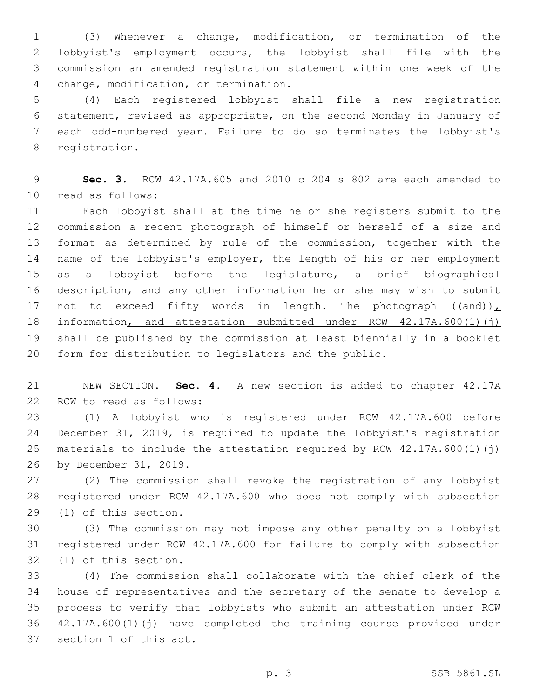(3) Whenever a change, modification, or termination of the lobbyist's employment occurs, the lobbyist shall file with the commission an amended registration statement within one week of the 4 change, modification, or termination.

 (4) Each registered lobbyist shall file a new registration statement, revised as appropriate, on the second Monday in January of each odd-numbered year. Failure to do so terminates the lobbyist's 8 registration.

 **Sec. 3.** RCW 42.17A.605 and 2010 c 204 s 802 are each amended to read as follows:10

 Each lobbyist shall at the time he or she registers submit to the commission a recent photograph of himself or herself of a size and format as determined by rule of the commission, together with the name of the lobbyist's employer, the length of his or her employment as a lobbyist before the legislature, a brief biographical description, and any other information he or she may wish to submit 17 not to exceed fifty words in length. The photograph  $((and))_L$  information, and attestation submitted under RCW 42.17A.600(1)(j) shall be published by the commission at least biennially in a booklet form for distribution to legislators and the public.

 NEW SECTION. **Sec. 4.** A new section is added to chapter 42.17A 22 RCW to read as follows:

 (1) A lobbyist who is registered under RCW 42.17A.600 before December 31, 2019, is required to update the lobbyist's registration materials to include the attestation required by RCW 42.17A.600(1)(j) 26 by December 31, 2019.

 (2) The commission shall revoke the registration of any lobbyist registered under RCW 42.17A.600 who does not comply with subsection (1) of this section.29

 (3) The commission may not impose any other penalty on a lobbyist registered under RCW 42.17A.600 for failure to comply with subsection 32 (1) of this section.

 (4) The commission shall collaborate with the chief clerk of the house of representatives and the secretary of the senate to develop a process to verify that lobbyists who submit an attestation under RCW 42.17A.600(1)(j) have completed the training course provided under 37 section 1 of this act.